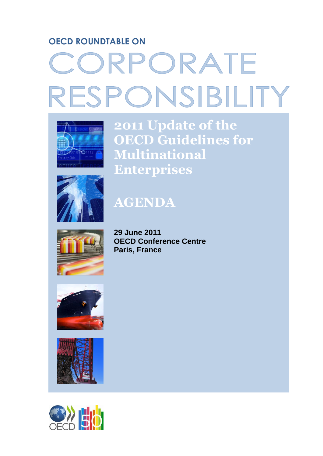# **OECD ROUNDTABLE ON**

# CORPORATE RESPONSIBILITY



**2011 Update of the OECD Guidelines for Multinational Enterprises**



# **AGENDA**



**29 June 2011 OECD Conference Centre Paris, France**





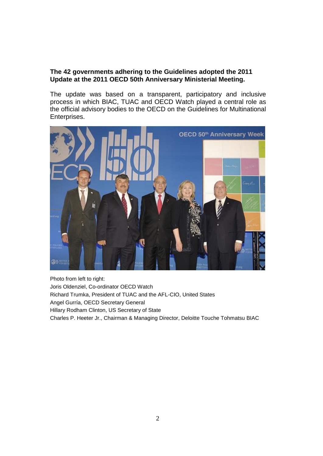#### **The 42 governments adhering to the Guidelines adopted the [2011](http://www.oecd.org/document/28/0,3746,en_2649_34863_2397532_1_1_1_1,00.html)  [Update](http://www.oecd.org/document/28/0,3746,en_2649_34863_2397532_1_1_1_1,00.html) at the 2011 OECD 50th Anniversary Ministerial Meeting.**

The update was based on a transparent, participatory and inclusive process in which BIAC, TUAC and OECD Watch played a central role as the official advisory bodies to the OECD on the Guidelines for Multinational Enterprises.



Photo from left to right: Joris Oldenziel, Co-ordinator OECD Watch Richard Trumka, President of TUAC and the AFL-CIO, United States Angel Gurría, OECD Secretary General Hillary Rodham Clinton, US Secretary of State Charles P. Heeter Jr., Chairman & Managing Director, Deloitte Touche Tohmatsu BIAC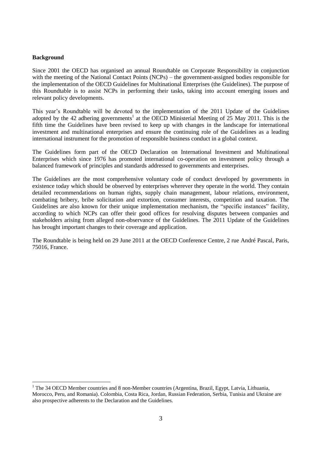#### **Background**

 $\overline{a}$ 

Since 2001 the OECD has organised an annual Roundtable on Corporate Responsibility in conjunction with the meeting of the National Contact Points (NCPs) – the government-assigned bodies responsible for the implementation of the OECD Guidelines for Multinational Enterprises (the Guidelines). The purpose of this Roundtable is to assist NCPs in performing their tasks, taking into account emerging issues and relevant policy developments.

This year's Roundtable will be devoted to the implementation of the 2011 Update of the Guidelines adopted by the 42 adhering governments<sup>1</sup> at the OECD Ministerial Meeting of  $25$  May 2011. This is the fifth time the Guidelines have been revised to keep up with changes in the landscape for international investment and multinational enterprises and ensure the continuing role of the Guidelines as a leading international instrument for the promotion of responsible business conduct in a global context.

The Guidelines form part of the OECD Declaration on International Investment and Multinational Enterprises which since 1976 has promoted international co-operation on investment policy through a balanced framework of principles and standards addressed to governments and enterprises.

The Guidelines are the most comprehensive voluntary code of conduct developed by governments in existence today which should be observed by enterprises wherever they operate in the world. They contain detailed recommendations on human rights, supply chain management, labour relations, environment, combating bribery, bribe solicitation and extortion, consumer interests, competition and taxation. The Guidelines are also known for their unique implementation mechanism, the "specific instances" facility, according to which NCPs can offer their good offices for resolving disputes between companies and stakeholders arising from alleged non-observance of the Guidelines. The 2011 Update of the Guidelines has brought important changes to their coverage and application.

The Roundtable is being held on 29 June 2011 at the OECD Conference Centre, 2 rue André Pascal, Paris, 75016, France.

<sup>&</sup>lt;sup>1</sup> The 34 OECD Member countries and 8 non-Member countries (Argentina, Brazil, Egypt, Latvia, Lithuania, Morocco, Peru, and Romania). Colombia, Costa Rica, Jordan, Russian Federation, Serbia, Tunisia and Ukraine are also prospective adherents to the Declaration and the Guidelines.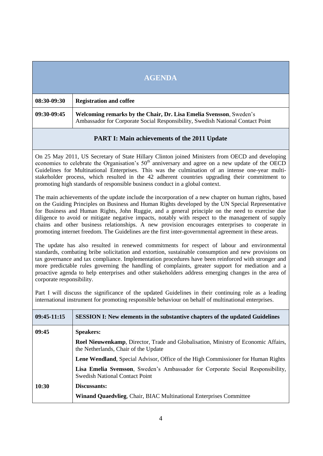|             | <b>AGENDA</b>                                                                                                                                        |
|-------------|------------------------------------------------------------------------------------------------------------------------------------------------------|
| 08:30-09:30 | <b>Registration and coffee</b>                                                                                                                       |
| 09:30-09:45 | Welcoming remarks by the Chair, Dr. Lisa Emelia Svensson, Sweden's<br>Ambassador for Corporate Social Responsibility, Swedish National Contact Point |

#### **PART I: Main achievements of the 2011 Update**

On 25 May 2011, US Secretary of State Hillary Clinton joined Ministers from OECD and developing economies to celebrate the Organisation's  $50<sup>th</sup>$  anniversary and agree on a new update of the OECD Guidelines for Multinational Enterprises. This was the culmination of an intense one-year multistakeholder process, which resulted in the 42 adherent countries upgrading their commitment to promoting high standards of responsible business conduct in a global context.

The main achievements of the update include the incorporation of a new chapter on human rights, based on the Guiding Principles on Business and Human Rights developed by the UN Special Representative for Business and Human Rights, John Ruggie, and a general principle on the need to exercise due diligence to avoid or mitigate negative impacts, notably with respect to the management of supply chains and other business relationships. A new provision encourages enterprises to cooperate in promoting internet freedom. The Guidelines are the first inter-governmental agreement in these areas.

The update has also resulted in renewed commitments for respect of labour and environmental standards, combating bribe solicitation and extortion, sustainable consumption and new provisions on tax governance and tax compliance. Implementation procedures have been reinforced with stronger and more predictable rules governing the handling of complaints, greater support for mediation and a proactive agenda to help enterprises and other stakeholders address emerging changes in the area of corporate responsibility.

Part I will discuss the significance of the updated Guidelines in their continuing role as a leading international instrument for promoting responsible behaviour on behalf of multinational enterprises.

| 09:45-11:15 | <b>SESSION I:</b> New elements in the substantive chapters of the updated Guidelines                                              |
|-------------|-----------------------------------------------------------------------------------------------------------------------------------|
| 09:45       | <b>Speakers:</b>                                                                                                                  |
|             | <b>Roel Nieuwenkamp, Director, Trade and Globalisation, Ministry of Economic Affairs,</b><br>the Netherlands, Chair of the Update |
|             | Lene Wendland, Special Advisor, Office of the High Commissioner for Human Rights                                                  |
|             | Lisa Emelia Svensson, Sweden's Ambassador for Corporate Social Responsibility,<br><b>Swedish National Contact Point</b>           |
| 10:30       | Discussants:                                                                                                                      |
|             | <b>Winand Quaedvlieg, Chair, BIAC Multinational Enterprises Committee</b>                                                         |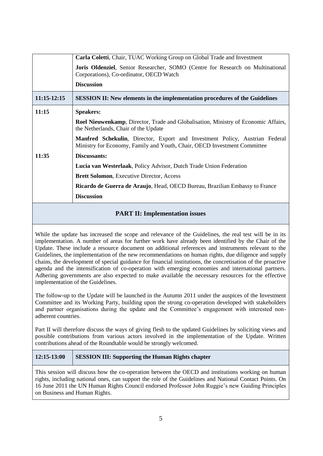|             | <b>Carla Coletti, Chair, TUAC Working Group on Global Trade and Investment</b>                                                                          |
|-------------|---------------------------------------------------------------------------------------------------------------------------------------------------------|
|             | Joris Oldenziel, Senior Researcher, SOMO (Centre for Research on Multinational<br>Corporations), Co-ordinator, OECD Watch                               |
|             | <b>Discussion</b>                                                                                                                                       |
| 11:15-12:15 | <b>SESSION II:</b> New elements in the implementation procedures of the Guidelines                                                                      |
| 11:15       | <b>Speakers:</b>                                                                                                                                        |
|             | <b>Roel Nieuwenkamp</b> , Director, Trade and Globalisation, Ministry of Economic Affairs,<br>the Netherlands, Chair of the Update                      |
|             | Manfred Schekulin, Director, Export and Investment Policy, Austrian Federal<br>Ministry for Economy, Family and Youth, Chair, OECD Investment Committee |
| 11:35       | Discussants:                                                                                                                                            |
|             | Lucia van Westerlaak, Policy Advisor, Dutch Trade Union Federation                                                                                      |
|             | <b>Brett Solomon, Executive Director, Access</b>                                                                                                        |
|             | Ricardo de Guerra de Araujo, Head, OECD Bureau, Brazilian Embassy to France                                                                             |
|             | <b>Discussion</b>                                                                                                                                       |

#### **PART II: Implementation issues**

While the update has increased the scope and relevance of the Guidelines, the real test will be in its implementation. A number of areas for further work have already been identified by the Chair of the Update. These include a resource document on additional references and instruments relevant to the Guidelines, the implementation of the new recommendations on human rights, due diligence and supply chains, the development of special guidance for financial institutions, the concretisation of the proactive agenda and the intensification of co-operation with emerging economies and international partners. Adhering governments are also expected to make available the necessary resources for the effective implementation of the Guidelines.

The follow-up to the Update will be launched in the Autumn 2011 under the auspices of the Investment Committee and its Working Party, building upon the strong co-operation developed with stakeholders and partner organisations during the update and the Committee's engagement with interested nonadherent countries.

Part II will therefore discuss the ways of giving flesh to the updated Guidelines by soliciting views and possible contributions from various actors involved in the implementation of the Update. Written contributions ahead of the Roundtable would be strongly welcomed.

#### **12:15-13:00 SESSION III: Supporting the Human Rights chapter**

This session will discuss how the co-operation between the OECD and institutions working on human rights, including national ones, can support the role of the Guidelines and National Contact Points. On 16 June 2011 the UN Human Rights Council endorsed Professor John Ruggie"s new Guiding Principles on Business and Human Rights.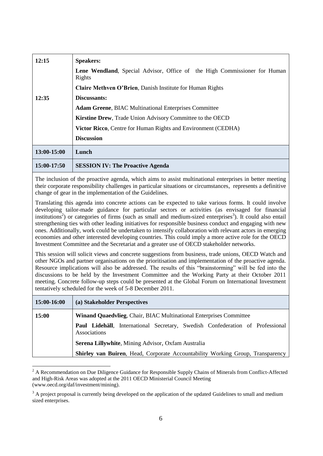| 12:15       | <b>Speakers:</b>                                                                           |
|-------------|--------------------------------------------------------------------------------------------|
|             | <b>Lene Wendland,</b> Special Advisor, Office of the High Commissioner for Human<br>Rights |
|             | <b>Claire Methven O'Brien, Danish Institute for Human Rights</b>                           |
| 12:35       | Discussants:                                                                               |
|             | <b>Adam Greene, BIAC Multinational Enterprises Committee</b>                               |
|             | <b>Kirstine Drew, Trade Union Advisory Committee to the OECD</b>                           |
|             | <b>Victor Ricco, Centre for Human Rights and Environment (CEDHA)</b>                       |
|             | <b>Discussion</b>                                                                          |
| 13:00-15:00 | Lunch                                                                                      |
| 15:00-17:50 | <b>SESSION IV: The Proactive Agenda</b>                                                    |

The inclusion of the proactive agenda, which aims to assist multinational enterprises in better meeting their corporate responsibility challenges in particular situations or circumstances, represents a definitive change of gear in the implementation of the Guidelines.

Translating this agenda into concrete actions can be expected to take various forms. It could involve developing tailor-made guidance for particular sectors or activities (as envisaged for financial institutions<sup>2</sup>) or categories of firms (such as small and medium-sized enterprises<sup>3</sup>). It could also entail strengthening ties with other leading initiatives for responsible business conduct and engaging with new ones. Additionally, work could be undertaken to intensify collaboration with relevant actors in emerging economies and other interested developing countries. This could imply a more active role for the OECD Investment Committee and the Secretariat and a greater use of OECD stakeholder networks.

This session will solicit views and concrete suggestions from business, trade unions, OECD Watch and other NGOs and partner organisations on the prioritisation and implementation of the proactive agenda. Resource implications will also be addressed. The results of this "brainstorming" will be fed into the discussions to be held by the Investment Committee and the Working Party at their October 2011 meeting. Concrete follow-up steps could be presented at the Global Forum on International Investment tentatively scheduled for the week of 5-8 December 2011.

| 15:00-16:00 | (a) Stakeholder Perspectives                                                                          |
|-------------|-------------------------------------------------------------------------------------------------------|
| 15:00       | <b>Winand Quaedvlieg, Chair, BIAC Multinational Enterprises Committee</b>                             |
|             | <b>Paul Lidehäll</b> , International Secretary, Swedish Confederation of Professional<br>Associations |
|             | Serena Lillywhite, Mining Advisor, Oxfam Australia                                                    |
|             | <b>Shirley van Buiren, Head, Corporate Accountability Working Group, Transparency</b>                 |

<sup>&</sup>lt;sup>2</sup> A Recommendation on Due Diligence Guidance for Responsible Supply Chains of Minerals from Conflict-Affected and High-Risk Areas was adopted at the 2011 OECD Ministerial Council Meeting [\(www.oecd.org/daf/investment/mining\)](http://www.oecd.org/daf/investment/mining).

 $\overline{a}$ 

 $3$  A project proposal is currently being developed on the application of the updated Guidelines to small and medium sized enterprises.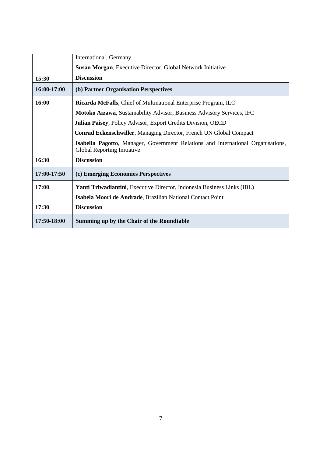|             | International, Germany                                                                                          |
|-------------|-----------------------------------------------------------------------------------------------------------------|
|             | <b>Susan Morgan, Executive Director, Global Network Initiative</b>                                              |
| 15:30       | <b>Discussion</b>                                                                                               |
| 16:00-17:00 | (b) Partner Organisation Perspectives                                                                           |
| 16:00       | <b>Ricarda McFalls</b> , Chief of Multinational Enterprise Program, ILO                                         |
|             | Motoko Aizawa, Sustainability Advisor, Business Advisory Services, IFC                                          |
|             | Julian Paisey, Policy Advisor, Export Credits Division, OECD                                                    |
|             | <b>Conrad Eckenschwiller, Managing Director, French UN Global Compact</b>                                       |
|             | Isabella Pagotto, Manager, Government Relations and International Organisations,<br>Global Reporting Initiative |
| 16:30       | <b>Discussion</b>                                                                                               |
| 17:00-17:50 | (c) Emerging Economies Perspectives                                                                             |
| 17:00       | Yanti Triwadiantini, Executive Director, Indonesia Business Links (IBL)                                         |
|             | Isabela Moori de Andrade, Brazilian National Contact Point                                                      |
| 17:30       | <b>Discussion</b>                                                                                               |
| 17:50-18:00 | Summing up by the Chair of the Roundtable                                                                       |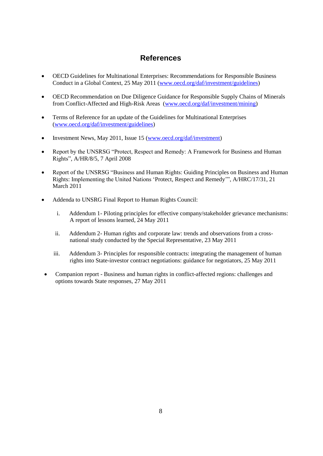## **References**

- OECD Guidelines for Multinational Enterprises: Recommendations for Responsible Business Conduct in a Global Context, 25 May 2011 [\(www.oecd.org/daf/investment/guidelines\)](http://www.oecd.org/daf/investment/guidelines)
- OECD Recommendation on Due Diligence Guidance for Responsible Supply Chains of Minerals from Conflict-Affected and High-Risk Areas [\(www.oecd.org/daf/investment/mining\)](http://www.oecd.org/daf/investment/mining)
- Terms of Reference for an update of the Guidelines for Multinational Enterprises [\(www.oecd.org/daf/investment/guidelines\)](http://www.oecd.org/daf/investment/guidelines)
- Investment News, May 2011, Issue 15 (www.oecd.org/daf/investment)
- Report by the UNSRSG "Protect, Respect and Remedy: A Framework for Business and Human Rights", A/HR/8/5, 7 April 2008
- Report of the UNSRSG "Business and Human Rights: Guiding Principles on Business and Human Rights: Implementing the United Nations "Protect, Respect and Remedy"", A/HRC/17/31, 21 March 2011
- Addenda to UNSRG Final Report to Human Rights Council:
	- i. Addendum 1- [Piloting principles for effective company/stakeholder grievance mechanisms:](http://www.ohchr.org/Documents/Issues/Business/A-HRC-17-31-Add1.pdf)  [A report of lessons learned,](http://www.ohchr.org/Documents/Issues/Business/A-HRC-17-31-Add1.pdf) 24 May 2011
	- ii. Addendum 2- [Human rights and corporate law: trends and observations from a cross](http://www.business-humanrights.org/media/documents/ruggie/report-human-rights-and-corporate-law-23-may-2011.pdf)[national study conducted by the Special Representative,](http://www.business-humanrights.org/media/documents/ruggie/report-human-rights-and-corporate-law-23-may-2011.pdf) 23 May 2011
	- iii. Addendum 3- [Principles for responsible contracts: integrating the management of human](http://www.business-humanrights.org/media/documents/ruggie/report-principles-for-responsible-contracts-25-may-2011.pdf)  [rights into State-investor contract negotiations: guidance for negotiators,](http://www.business-humanrights.org/media/documents/ruggie/report-principles-for-responsible-contracts-25-may-2011.pdf) 25 May 2011
- Companion report [Business and human rights in conflict-affected regions: challenges and](http://www.business-humanrights.org/media/documents/ruggie/report-business-human-rights-in-conflict-affected-regions-27-may-2011.pdf)  [options towards State](http://www.business-humanrights.org/media/documents/ruggie/report-business-human-rights-in-conflict-affected-regions-27-may-2011.pdf) responses, 27 May 2011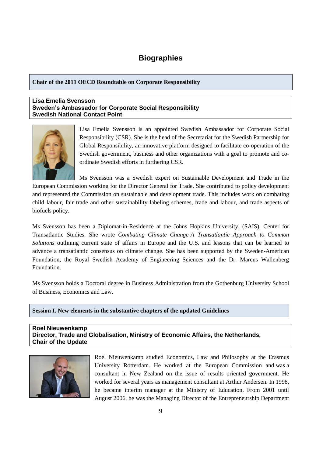### **Biographies**

**Chair of the 2011 OECD Roundtable on Corporate Responsibility**

#### **Lisa Emelia Svensson Sweden's Ambassador for Corporate Social Responsibility Swedish National Contact Point**



Lisa Emelia Svensson is an appointed Swedish Ambassador for Corporate Social Responsibility (CSR). She is the head of the Secretariat for the Swedish Partnership for Global Responsibility, an innovative platform designed to facilitate co-operation of the Swedish government, business and other organizations with a goal to promote and coordinate Swedish efforts in furthering CSR.

Ms Svensson was a Swedish expert on Sustainable Development and Trade in the

European Commission working for the Director General for Trade. She contributed to policy development and represented the Commission on sustainable and development trade. This includes work on combating child labour, fair trade and other sustainability labeling schemes, trade and labour, and trade aspects of biofuels policy.

Ms Svensson has been a Diplomat-in-Residence at the Johns Hopkins University, (SAIS), Center for Transatlantic Studies. She wrote *Combating Climate Change-A Transatlantic Approach to Common Solutions* outlining current state of affairs in Europe and the U.S. and lessons that can be learned to advance a transatlantic consensus on climate change. She has been supported by the Sweden-American Foundation, the Royal Swedish Academy of Engineering Sciences and the Dr. Marcus Wallenberg Foundation.

Ms Svensson holds a Doctoral degree in Business Administration from the Gothenburg University School of Business, Economics and Law.

**Session I. New elements in the substantive chapters of the updated Guidelines**

**Roel Nieuwenkamp Director, Trade and Globalisation, Ministry of Economic Affairs, the Netherlands, Chair of the Update**



Roel Nieuwenkamp studied Economics, Law and Philosophy at the Erasmus University Rotterdam. He worked at the European Commission and was a consultant in New Zealand on the issue of results oriented government. He worked for several years as management consultant at Arthur Andersen. In 1998, he became interim manager at the Ministry of Education. From 2001 until August 2006, he was the Managing Director of the Entrepreneurship Department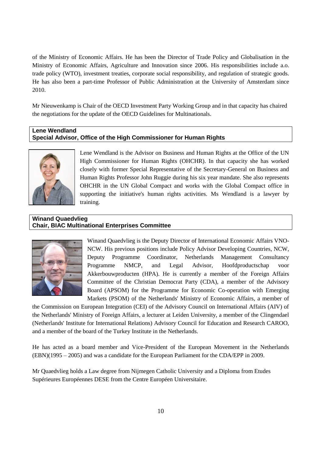of the Ministry of Economic Affairs. He has been the Director of Trade Policy and Globalisation in the Ministry of Economic Affairs, Agriculture and Innovation since 2006. His responsibilities include a.o. trade policy (WTO), investment treaties, corporate social responsibility, and regulation of strategic goods. He has also been a part-time Professor of Public Administration at the University of Amsterdam since 2010.

Mr Nieuwenkamp is Chair of the OECD Investment Party Working Group and in that capacity has chaired the negotiations for the update of the OECD Guidelines for Multinationals.

#### **Lene Wendland Special Advisor, Office of the High Commissioner for Human Rights**



Lene Wendland is the Advisor on Business and Human Rights at the Office of the UN High Commissioner for Human Rights (OHCHR). In that capacity she has worked closely with former Special Representative of the Secretary-General on Business and Human Rights Professor John Ruggie during his six year mandate. She also represents OHCHR in the UN Global Compact and works with the Global Compact office in supporting the initiative's human rights activities. Ms Wendland is a lawyer by training.

#### **Winand Quaedvlieg Chair, BIAC Multinational Enterprises Committee**



Winand Quaedvlieg is the Deputy Director of International Economic Affairs VNO-NCW. His previous positions include Policy Advisor Developing Countries, NCW, Deputy Programme Coordinator, Netherlands Management Consultancy Programme NMCP, and Legal Advisor, Hoofdproductschap voor Akkerbouwproducten (HPA). He is currently a member of the Foreign Affairs Committee of the Christian Democrat Party (CDA), a member of the Advisory Board (APSOM) for the Programme for Economic Co-operation with Emerging Markets (PSOM) of the Netherlands' Ministry of Economic Affairs, a member of

the Commission on European Integration (CEI) of the Advisory Council on International Affairs (AIV) of the Netherlands' Ministry of Foreign Affairs, a lecturer at Leiden University, a member of the Clingendael (Netherlands' Institute for International Relations) Advisory Council for Education and Research CAROO, and a member of the board of the Turkey Institute in the Netherlands.

He has acted as a board member and Vice-President of the European Movement in the Netherlands (EBN)(1995 – 2005) and was a candidate for the European Parliament for the CDA/EPP in 2009.

Mr Quaedvlieg holds a Law degree from Nijmegen Catholic University and a Diploma from Etudes Supérieures Européennes DESE from the Centre Européen Universitaire.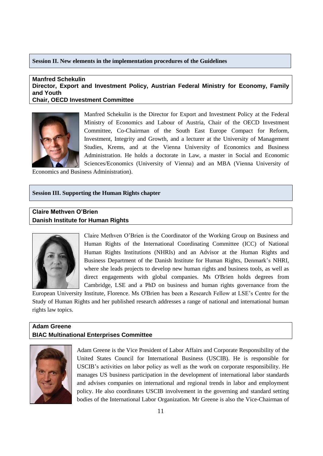#### **Session II. New elements in the implementation procedures of the Guidelines**

#### **Manfred Schekulin Director, Export and Investment Policy, Austrian Federal Ministry for Economy, Family and Youth Chair, OECD Investment Committee**



Manfred Schekulin is the Director for Export and Investment Policy at the Federal Ministry of Economics and Labour of Austria, Chair of the OECD Investment Committee, Co-Chairman of the South East Europe Compact for Reform, Investment, Integrity and Growth, and a lecturer at the University of Management Studies, Krems, and at the Vienna University of Economics and Business Administration. He holds a doctorate in Law, a master in Social and Economic Sciences/Economics (University of Vienna) and an MBA (Vienna University of

Economics and Business Administration).

#### **Session III. Supporting the Human Rights chapter**

#### **Claire Methven O'Brien Danish Institute for Human Rights**



Claire Methven O"Brien is the Coordinator of the Working Group on Business and Human Rights of the International Coordinating Committee (ICC) of National Human Rights Institutions (NHRIs) and an Advisor at the Human Rights and Business Department of the [Danish Institute for Human Rights,](http://www.humanrights.dk/) Denmark"s NHRI, where she leads projects to develop new human rights and business tools, as well as direct engagements with global companies. Ms O'Brien holds degrees from Cambridge, LSE and a PhD on business and human rights governance from the

European University Institute, Florence. Ms O'Brien has been a Research Fellow at LSE"s Centre for the Study of Human Rights and her published research addresses a range of national and international human rights law topics.

#### **Adam Greene BIAC Multinational Enterprises Committee**



Adam Greene is the Vice President of Labor Affairs and Corporate Responsibility of the United States Council for International Business (USCIB). He is responsible for USCIB"s activities on labor policy as well as the work on corporate responsibility. He manages US business participation in the development of international labor standards and advises companies on international and regional trends in labor and employment policy. He also coordinates USCIB involvement in the governing and standard setting bodies of the International Labor Organization. Mr Greene is also the Vice-Chairman of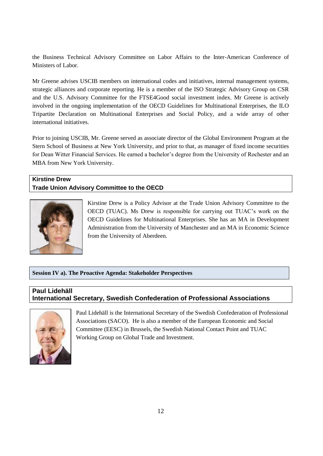the Business Technical Advisory Committee on Labor Affairs to the Inter-American Conference of Ministers of Labor.

Mr Greene advises USCIB members on international codes and initiatives, internal management systems, strategic alliances and corporate reporting. He is a member of the ISO Strategic Advisory Group on CSR and the U.S. Advisory Committee for the FTSE4Good social investment index. Mr Greene is actively involved in the ongoing implementation of the OECD Guidelines for Multinational Enterprises, the ILO Tripartite Declaration on Multinational Enterprises and Social Policy, and a wide array of other international initiatives.

Prior to joining USCIB, Mr. Greene served as associate director of the Global Environment Program at the Stern School of Business at New York University, and prior to that, as manager of fixed income securities for Dean Witter Financial Services. He earned a bachelor"s degree from the University of Rochester and an MBA from New York University.

#### **Kirstine Drew Trade Union Advisory Committee to the OECD**



Kirstine Drew is a Policy Advisor at the Trade Union Advisory Committee to the OECD (TUAC). Ms Drew is responsible for carrying out TUAC"s work on the OECD Guidelines for Multinational Enterprises. She has an MA in Development Administration from the University of Manchester and an MA in Economic Science from the University of Aberdeen.

**Session IV a). The Proactive Agenda: Stakeholder Perspectives**

# **Paul Lidehäll**

**International Secretary, Swedish Confederation of Professional Associations**



Paul Lidehäll is the International Secretary of the Swedish Confederation of Professional Associations (SACO). He is also a member of the European Economic and Social Committee (EESC) in Brussels, the Swedish National Contact Point and TUAC Working Group on Global Trade and Investment.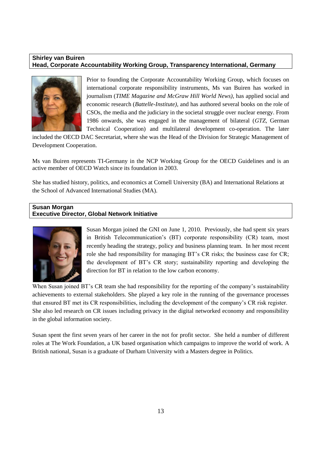#### **Shirley van Buiren Head, Corporate Accountability Working Group, Transparency International, Germany**



Prior to founding the Corporate Accountability Working Group, which focuses on international corporate responsibility instruments, Ms van Buiren has worked in journalism (*TIME Magazine and McGraw Hill World News)*, has applied social and economic research (*Battelle-Institute),* and has authored several books on the role of CSOs, the media and the judiciary in the societal struggle over nuclear energy. From 1986 onwards, she was engaged in the management of bilateral (*GTZ*, German Technical Cooperation) and multilateral development co-operation. The later

included the OECD DAC Secretariat, where she was the Head of the Division for Strategic Management of Development Cooperation.

Ms van Buiren represents TI-Germany in the NCP Working Group for the OECD Guidelines and is an active member of OECD Watch since its foundation in 2003.

She has studied history, politics, and economics at Cornell University (BA) and International Relations at the School of Advanced International Studies (MA).

#### **Susan Morgan Executive Director, Global Network Initiative**



Susan Morgan joined the GNI on June 1, 2010. Previously, she had spent six years in British Telecommunication"s (BT) corporate responsibility (CR) team, most recently heading the strategy, policy and business planning team. In her most recent role she had responsibility for managing BT"s CR risks; the business case for CR; the development of BT"s CR story; sustainability reporting and developing the direction for BT in relation to the low carbon economy.

When Susan joined BT's CR team she had responsibility for the reporting of the company's sustainability achievements to external stakeholders. She played a key role in the running of the governance processes that ensured BT met its CR responsibilities, including the development of the company"s CR risk register. She also led research on CR issues including privacy in the digital networked economy and responsibility in the global information society.

Susan spent the first seven years of her career in the not for profit sector. She held a number of different roles at The Work Foundation, a UK based organisation which campaigns to improve the world of work. A British national, Susan is a graduate of Durham University with a Masters degree in Politics.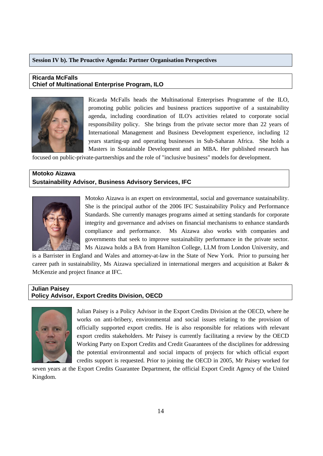#### **Session IV b). The Proactive Agenda: Partner Organisation Perspectives**

#### **Ricarda McFalls Chief of Multinational Enterprise Program, ILO**



Ricarda McFalls heads the Multinational Enterprises Programme of the ILO, promoting public policies and business practices supportive of a sustainability agenda, including coordination of ILO's activities related to corporate social responsibility policy. She brings from the private sector more than 22 years of International Management and Business Development experience, including 12 years starting-up and operating businesses in Sub-Saharan Africa. She holds a Masters in Sustainable Development and an MBA. Her published research has

focused on public-private-partnerships and the role of "inclusive business" models for development.

#### **Motoko Aizawa Sustainability Advisor, Business Advisory Services, IFC**



Motoko Aizawa is an expert on environmental, social and governance sustainability. She is the principal author of the 2006 IFC Sustainability Policy and Performance Standards. She currently manages programs aimed at setting standards for corporate integrity and governance and advises on financial mechanisms to enhance standards compliance and performance. Ms Aizawa also works with companies and governments that seek to improve sustainability performance in the private sector. Ms Aizawa holds a BA from Hamilton College, LLM from London University, and

is a Barrister in England and Wales and attorney-at-law in the State of New York. Prior to pursuing her career path in sustainability, Ms Aizawa specialized in international mergers and acquisition at Baker & McKenzie and project finance at IFC.

#### **Julian Paisey Policy Advisor, Export Credits Division, OECD**



Julian Paisey is a Policy Advisor in the Export Credits Division at the OECD, where he works on anti-bribery, environmental and social issues relating to the provision of officially supported export credits. He is also responsible for relations with relevant export credits stakeholders. Mr Paisey is currently facilitating a review by the OECD Working Party on Export Credits and Credit Guarantees of the disciplines for addressing the potential environmental and social impacts of projects for which official export credits support is requested. Prior to joining the OECD in 2005, Mr Paisey worked for

seven years at the Export Credits Guarantee Department, the official Export Credit Agency of the United Kingdom.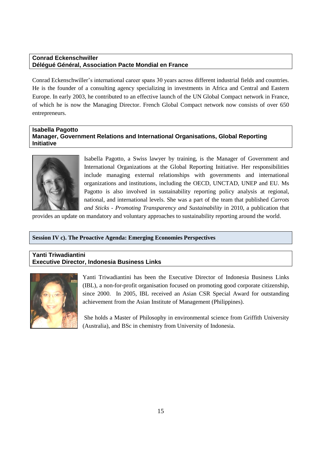#### **Conrad Eckenschwiller Délégué Général, Association Pacte Mondial en France**

Conrad Eckenschwiller"s international career spans 30 years across different industrial fields and countries. He is the founder of a consulting agency specializing in investments in Africa and Central and Eastern Europe. In early 2003, he contributed to an effective launch of the UN Global Compact network in France, of which he is now the Managing Director. French Global Compact network now consists of over 650 entrepreneurs.

#### **Isabella Pagotto Manager, Government Relations and International Organisations, Global Reporting Initiative**



Isabella Pagotto, a Swiss lawyer by training, is the Manager of Government and International Organizations at the Global Reporting Initiative. Her responsibilities include managing external relationships with governments and international organizations and institutions, including the OECD, UNCTAD, UNEP and EU. Ms Pagotto is also involved in sustainability reporting policy analysis at regional, national, and international levels. She was a part of the team that published *Carrots and Sticks - Promoting Transparency and Sustainability* in 2010, a publication that

provides an update on mandatory and voluntary approaches to sustainability reporting around the world.

#### **Session IV c). The Proactive Agenda: Emerging Economies Perspectives**

#### **Yanti Triwadiantini Executive Director, Indonesia Business Links**



Yanti Triwadiantini has been the Executive Director of Indonesia Business Links (IBL), a non-for-profit organisation focused on promoting good corporate citizenship, since 2000. In 2005, IBL received an Asian CSR Special Award for outstanding achievement from the Asian Institute of Management (Philippines).

She holds a Master of Philosophy in environmental science from Griffith University (Australia), and BSc in chemistry from University of Indonesia.